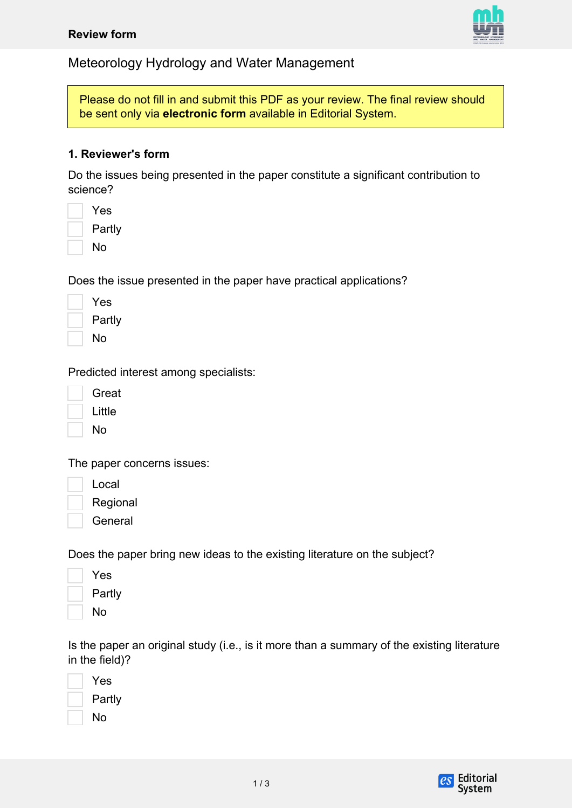

Meteorology Hydrology and Water Management

Please do not fill in and submit this PDF as your review. The final review should be sent only via **electronic form** available in Editorial System.

## **1. Reviewer's form**

Do the issues being presented in the paper constitute a significant contribution to science?

| Yes    |
|--------|
| Partly |
| No     |

Does the issue presented in the paper have practical applications?

| Yes    |
|--------|
| Partly |
| No     |

Predicted interest among specialists:

| Great  |
|--------|
| Little |

No

The paper concerns issues:

Local

Regional

**General** 

Does the paper bring new ideas to the existing literature on the subject?

| Yes    |
|--------|
| Partly |
| No     |

Is the paper an original study (i.e., is it more than a summary of the existing literature in the field)?

| Yes    |
|--------|
| Partly |
| No     |

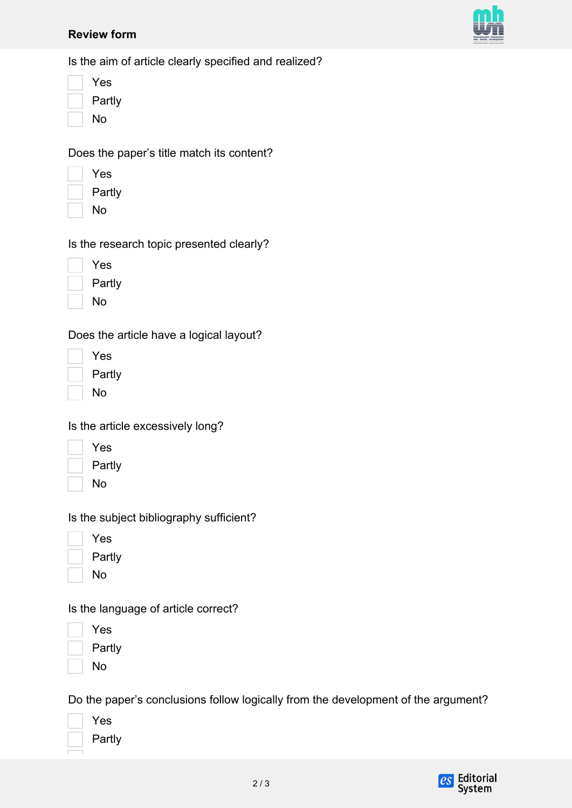#### **Review form**



Is the aim of article clearly specified and realized?

| Yes    |
|--------|
| Partly |
| No     |

Does the paper's title match its content?

| Yes    |
|--------|
| Partly |

No

Is the research topic presented clearly?

| Yes    |
|--------|
| Partly |
| No     |

Does the article have a logical layout?

| Yes    |
|--------|
| Partly |
| No     |

Is the article excessively long?

| Yes    |
|--------|
| Partly |
| N٥     |

Is the subject bibliography sufficient?

| Yes    |
|--------|
| Partly |

No

Is the language of article correct?

Yes Partly

No

Do the paper's conclusions follow logically from the development of the argument?

| Yes   |
|-------|
| Partl |
|       |